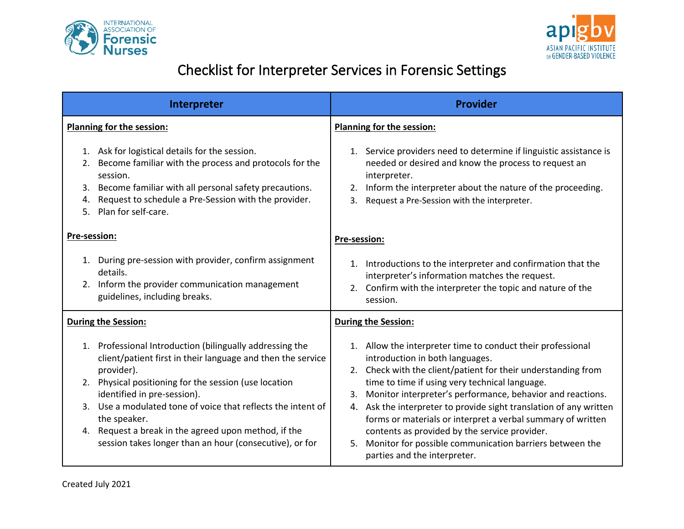



## Checklist for Interpreter Services in Forensic Settings

| Interpreter                                                                                                                                                                                                                                                                                                                                                                                                                            | <b>Provider</b>                                                                                                                                                                                                                                                                                                                                                                                                                                                                                                                                                                 |
|----------------------------------------------------------------------------------------------------------------------------------------------------------------------------------------------------------------------------------------------------------------------------------------------------------------------------------------------------------------------------------------------------------------------------------------|---------------------------------------------------------------------------------------------------------------------------------------------------------------------------------------------------------------------------------------------------------------------------------------------------------------------------------------------------------------------------------------------------------------------------------------------------------------------------------------------------------------------------------------------------------------------------------|
| Planning for the session:                                                                                                                                                                                                                                                                                                                                                                                                              | <b>Planning for the session:</b>                                                                                                                                                                                                                                                                                                                                                                                                                                                                                                                                                |
| 1. Ask for logistical details for the session.<br>Become familiar with the process and protocols for the<br>2.<br>session.<br>Become familiar with all personal safety precautions.<br>3.<br>Request to schedule a Pre-Session with the provider.<br>4.<br>5. Plan for self-care.                                                                                                                                                      | Service providers need to determine if linguistic assistance is<br>1.<br>needed or desired and know the process to request an<br>interpreter.<br>Inform the interpreter about the nature of the proceeding.<br>2.<br>Request a Pre-Session with the interpreter.<br>3.                                                                                                                                                                                                                                                                                                          |
| Pre-session:                                                                                                                                                                                                                                                                                                                                                                                                                           | Pre-session:                                                                                                                                                                                                                                                                                                                                                                                                                                                                                                                                                                    |
| 1. During pre-session with provider, confirm assignment<br>details.<br>2. Inform the provider communication management<br>guidelines, including breaks.                                                                                                                                                                                                                                                                                | Introductions to the interpreter and confirmation that the<br>1.<br>interpreter's information matches the request.<br>2. Confirm with the interpreter the topic and nature of the<br>session.                                                                                                                                                                                                                                                                                                                                                                                   |
| <b>During the Session:</b>                                                                                                                                                                                                                                                                                                                                                                                                             | <b>During the Session:</b>                                                                                                                                                                                                                                                                                                                                                                                                                                                                                                                                                      |
| 1. Professional Introduction (bilingually addressing the<br>client/patient first in their language and then the service<br>provider).<br>Physical positioning for the session (use location<br>2.<br>identified in pre-session).<br>Use a modulated tone of voice that reflects the intent of<br>3.<br>the speaker.<br>4. Request a break in the agreed upon method, if the<br>session takes longer than an hour (consecutive), or for | Allow the interpreter time to conduct their professional<br>1.<br>introduction in both languages.<br>2. Check with the client/patient for their understanding from<br>time to time if using very technical language.<br>Monitor interpreter's performance, behavior and reactions.<br>3.<br>4. Ask the interpreter to provide sight translation of any written<br>forms or materials or interpret a verbal summary of written<br>contents as provided by the service provider.<br>Monitor for possible communication barriers between the<br>5.<br>parties and the interpreter. |